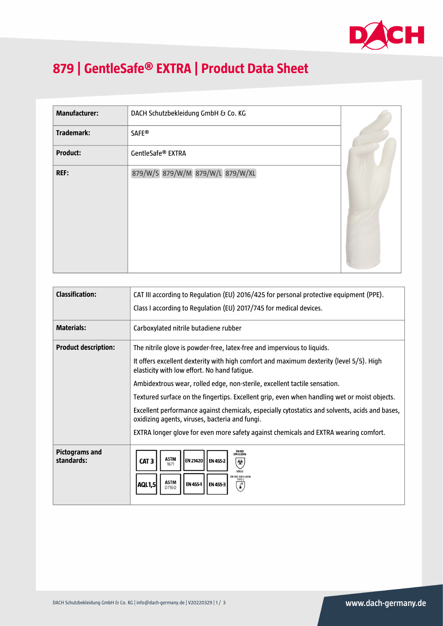

## **879 | GentleSafe® EXTRA | Product Data Sheet**

| <b>Manufacturer:</b> | DACH Schutzbekleidung GmbH & Co. KG |  |
|----------------------|-------------------------------------|--|
| Trademark:           | <b>SAFE®</b>                        |  |
| <b>Product:</b>      | GentleSafe® EXTRA                   |  |
| REF:                 | 879/W/S 879/W/M 879/W/L 879/W/XL    |  |
|                      |                                     |  |
|                      |                                     |  |
|                      |                                     |  |
|                      |                                     |  |

| <b>Classification:</b>       | CAT III according to Regulation (EU) 2016/425 for personal protective equipment (PPE).                                                                                                                          |  |  |
|------------------------------|-----------------------------------------------------------------------------------------------------------------------------------------------------------------------------------------------------------------|--|--|
|                              | Class I according to Regulation (EU) 2017/745 for medical devices.                                                                                                                                              |  |  |
| <b>Materials:</b>            | Carboxylated nitrile butadiene rubber                                                                                                                                                                           |  |  |
| <b>Product description:</b>  | The nitrile glove is powder-free, latex-free and impervious to liquids.                                                                                                                                         |  |  |
|                              | It offers excellent dexterity with high comfort and maximum dexterity (level 5/5). High<br>elasticity with low effort. No hand fatique.                                                                         |  |  |
|                              | Ambidextrous wear, rolled edge, non-sterile, excellent tactile sensation.                                                                                                                                       |  |  |
|                              | Textured surface on the fingertips. Excellent grip, even when handling wet or moist objects.                                                                                                                    |  |  |
|                              | Excellent performance against chemicals, especially cytostatics and solvents, acids and bases,<br>oxidizing agents, viruses, bacteria and fungi.                                                                |  |  |
|                              | EXTRA longer glove for even more safety against chemicals and EXTRA wearing comfort.                                                                                                                            |  |  |
| Pictograms and<br>standards: | EN ISO<br>374-5:2016<br><b>ASTM</b><br>EN 21420 EN 455-2<br>CAT <sub>3</sub><br>⊛<br>1671<br>VIRIIS<br>EN ISO 374-1:2016<br><b>TYPE C</b><br><b>ASTM</b><br>AQL1,5<br>EN 455-1<br><b>EN 455-3</b><br>Ā<br>D7160 |  |  |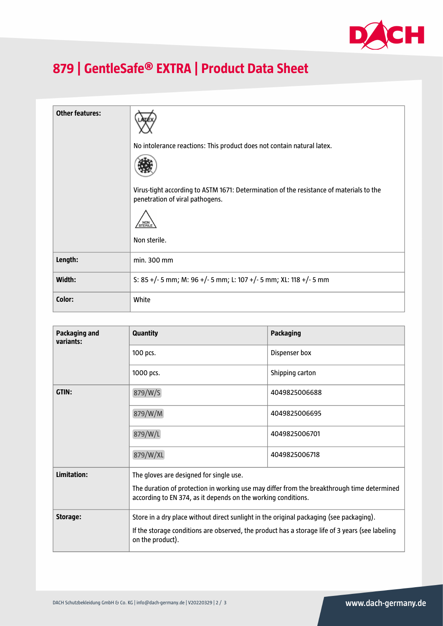

## **879 | GentleSafe® EXTRA | Product Data Sheet**

| <b>Other features:</b> |                                                                                                                            |
|------------------------|----------------------------------------------------------------------------------------------------------------------------|
|                        | No intolerance reactions: This product does not contain natural latex.                                                     |
|                        |                                                                                                                            |
|                        | Virus-tight according to ASTM 1671: Determination of the resistance of materials to the<br>penetration of viral pathogens. |
|                        | STERILE                                                                                                                    |
|                        | Non sterile.                                                                                                               |
| Length:                | min. 300 mm                                                                                                                |
| Width:                 | S: 85 +/- 5 mm; M: 96 +/- 5 mm; L: 107 +/- 5 mm; XL: 118 +/- 5 mm                                                          |
| Color:                 | White                                                                                                                      |

| Packaging and<br>variants:                             | <b>Quantity</b>                                                                                                                                             | <b>Packaging</b> |
|--------------------------------------------------------|-------------------------------------------------------------------------------------------------------------------------------------------------------------|------------------|
|                                                        | 100 pcs.                                                                                                                                                    | Dispenser box    |
|                                                        | 1000 pcs.                                                                                                                                                   | Shipping carton  |
| GTIN:                                                  | 879/W/S                                                                                                                                                     | 4049825006688    |
|                                                        | 879/W/M                                                                                                                                                     | 4049825006695    |
|                                                        | 879/W/L                                                                                                                                                     | 4049825006701    |
|                                                        | 879/W/XL                                                                                                                                                    | 4049825006718    |
| Limitation:<br>The gloves are designed for single use. |                                                                                                                                                             |                  |
|                                                        | The duration of protection in working use may differ from the breakthrough time determined<br>according to EN 374, as it depends on the working conditions. |                  |
| Storage:                                               | Store in a dry place without direct sunlight in the original packaging (see packaging).                                                                     |                  |
|                                                        | If the storage conditions are observed, the product has a storage life of 3 years (see labeling<br>on the product).                                         |                  |